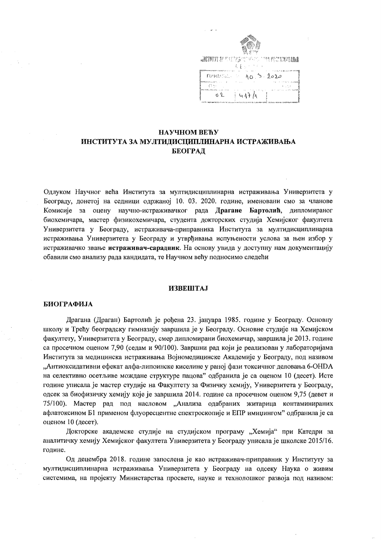|                       | <b>ANSERTY &amp;</b> ESERGIST FROM THE POTENTIAL<br>むまん ハクティ |
|-----------------------|--------------------------------------------------------------|
| <b>FIPMANSAL COMP</b> | $10^{5}2020$                                                 |
| E 1 n -               |                                                              |
| юŶ.                   | $4A+A$                                                       |

# НАУЧНОМ ВЕЋУ ИНСТИТУТА ЗА МУЛТИДИСЦИПЛИНАРНА ИСТРАЖИВАЊА БЕОГРАД

Одлуком Научног већа Института за мултидисциплинарна истраживања Универзитета у Београду, донетој на седници одржаној 10. 03. 2020. године, именовани смо за чланове Комисије за оцену научно-истраживачког рада Драгане Бартолић, дипломираног биохемичара, мастер физикохемичара, студента докторских студија Хемијског факултета Универзитета у Београду, истраживача-приправника Института за мултидисциплинарна истраживања Универзитета у Београду и утврђивања испуњености услова за њен избор у истраживачко звање истраживач-сарадник. На основу увида у доступну нам документацију обавили смо анализу рада кандидата, те Научном већу подносимо следећи

#### **ИЗВЕШТАЈ**

#### **БИОГРАФИЈА**

Драгана (Драган) Бартолић је рођена 23. јануара 1985. године у Београду. Основну школу и Трећу београдску гимназију завршила је у Београду. Основне студије на Хемијском факултету, Универзитета у Београду, смер дипломирани биохемичар, завршила је 2013. године са просечном оценом 7,90 (седам и 90/100). Завршни рад који је реализован у лабораторијама Института за медицинска истраживања Војномедицинске Академије у Београду, под називом "Антиоксидативни ефекат алфа-липоинске киселине у раној фази токсичног деловања 6-ОНDА на селективно осетљиве мождане структуре пацова" одбранила је са оценом 10 (десет). Исте године уписала је мастер студије на Факултету за Физичку хемију, Универзитета у Београду, одсек за биофизичку хемију које је завршила 2014. године са просечном оценом 9,75 (девет и 75/100). Мастер рад под насловом "Анализа одабраних житарица контаминираних афлатоксином Б1 применом флуоресцентне спектроскопије и ЕПР имиџингом" одбранила је са оценом 10 (десет).

Докторске академске студије на студијском програму "Хемија" при Катедри за аналитичку хемију Хемијског факултета Универзитета у Београду уписала је школске 2015/16. године.

Од децембра 2018. године запослена је као истраживач-приправник у Институту за мултидисциплинарна истраживања Универзитета у Београду на одсеку Наука о живим системима, на пројекту Министарства просвете, науке и технолошког развоја под називом: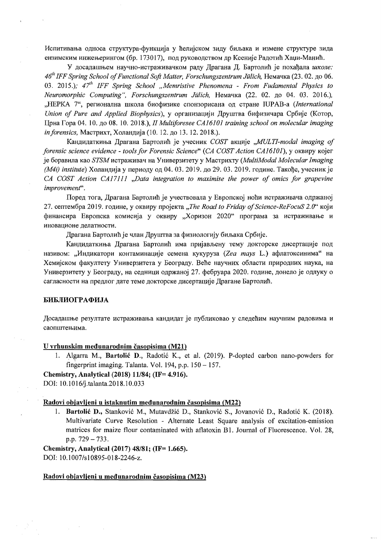Испитивања односа структура-функција у ћелијском зиду биљака и измене структуре зида ензимским инжењерингом (бр. 173017), под руководством др Ксеније Радотић Хаџи-Манић.

У досадашњем научно-истраживачком раду Драгана Д. Бартолић је похађала школе: 46<sup>th</sup> IFF Spring School of Functional Soft Matter, Forschungszentrum Jülich, Немачка (23.02. до 06. 03. 2015.);  $47^{th}$  IFF Spring School "Memristive Phenomena - From Fudamental Physics to Neuromorphic Computing", Forschungszentrum Jülich, Немачка (22, 02, до 04, 03, 2016.), "НЕРКА 7", регионална школа биофизике спонзорисана од стране IUPAB-а (International Union of Pure and Applied Biophysics), у организацији Друштва бифизичара Србије (Котор, Црна Гора 04. 10. до 08. 10. 2018.), II Multiforesee CA16101 training school on molecular imaging in forensics, Мастрихт, Холандија (10. 12. до 13. 12. 2018.).

Кандидаткиња Драгана Бартолић је учесник COST акције "MULTI-modal imaging of forensic science evidence - tools for Forensic Science" (СА COST Action CA16101), у оквиру којег је боравила као STSM истраживач на Универзитету у Мастрихту (MultiModal Molecular Imaging (M4i) institute) Холандија у периоду од 04. 03. 2019. до 29. 03. 2019. године. Такође, учесник је CA COST Action CA17111 "Data integration to maximise the power of omics for grapevine improvement".

Поред тога, Драгана Бартолић је учествовала у Европској ноћи истраживача одржаној 27. септембра 2019. године, у оквиру пројекта "The Road to Friday of Science-ReFocuS 2.0" који финансира Европска комисија у оквиру "Хоризон 2020" програма за истраживање и иновационе делатности.

Драгана Бартолић је члан Друштва за физиологију биљака Србије.

Кандидаткиња Драгана Бартолић има пријављену тему докторске дисертације под називом: "Индикатори контаминације семена кукуруза (Zea mays L.) афлатоксинима" на Хемијском факултету Универзитета у Београду. Веће научних области природних наука, на Универзитету у Београду, на седници одржаној 27. фебруара 2020. године, донело је одлуку о сагласности на предлог дате теме докторске дисертације Драгане Бартолић.

## БИБЛИОГРАФИЈА

Досадашње резултате истраживања кандидат је публиковао у следећим научним радовима и саопштењима.

#### U vrhunskim međunarodnim časopisima (M21)

1. Algarra M., Bartolić D., Radotić K., et al. (2019). P-dopted carbon nano-powders for fingerprint imaging. Talanta. Vol. 194, p.p.  $150 - 157$ .

Chemistry, Analytical (2018) 11/84; (IF= 4.916).

DOI: 10.1016/j.talanta.2018.10.033

## Radovi objavljeni u istaknutim međunarodnim časopisima (M22)

1. Bartolić D., Stanković M., Mutavdžić D., Stanković S., Jovanović D., Radotić K. (2018). Multivariate Curve Resolution - Alternate Least Square analysis of excitation-emission matrices for maize flour contaminated with aflatoxin B1. Journal of Fluorescence. Vol. 28, p.p.  $729 - 733$ .

Chemistry, Analytical (2017) 48/81; (IF= 1.665). DOI: 10.1007/s10895-018-2246-z.

#### Radovi objavljeni u međunarodnim časopisima (M23)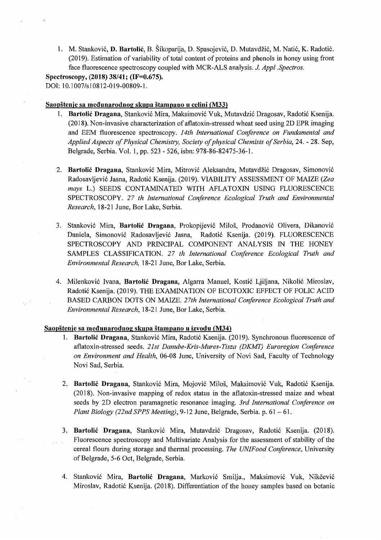1. M. Stanković, D. Bartolić, B. Šikoparija, D. Spasojević, D. Mutavdžić, M. Natić, K. Radotić. (2019). Estimation of variability of total content of proteins and phenols in honey using front face fluorescence spectroscopy coupled with MCR-ALS analysis. J. *Appl.Spectros.* 

Spectroscopy, (2018) 38/41; (IF=0.675). DOI: 10.1007/s10812-019-00809-1.

### Saopštenje sa međunarodnog skupa štampano u celini (M33)

- 1. Bartolić Dragana, Stanković Mira, Maksimović Vuk, Mutavdzić Dragosav, Radotić Ksenija. (2018). Non-invasive characterization ofaflatoxin-stressed wheat seed using 2D EPR imaging and EEM fluorescence spectroscopy. *14th International Coriference on Fundamental and Applied Aspects of Physical Chemistry, Society of physical Chemists of Serbia,* 24. - 28. Sep, Belgrade, Serbia. Vol. 1, pp. 523 - 526, isbn: 978-86-82475-36-1.
- 2. Bartolić Dragana, Stanković Mira, Mitrović Aleksandra, Mutavdžić Dragosav, Simonović Radosavljevic Jasna, Radotic Ksenija. (2019). VIABILITY ASSESSMENT OF MAIZE *(Zea mays* L.) SEEDS CONTAMINATED WITH AFLATOXIN USING FLUORESCENCE SPECTROSCOPY. 27 *th International Coriference Ecological Truth and Environmental Research,* 18-21 June, Bor Lake, Serbia.
- 3. Stanković Mira, Bartolić Dragana, Prokopijević Miloš, Prodanović Olivera, Đikanović Daniela, Simonović Radosavljević Jasna, Radotić Ksenija. (2019). FLUORESCENCE SPECTROSCOPY AND PRINCIPAL COMPONENT ANALYSIS IN THE HONEY SAMPLES CLASSIFICATION. 27 *th International Conference Ecological Truth and Environmental Research,* 18-21 June, Bor Lake, Serbia.
- 4. Milenković Ivana, Bartolić Dragana, Algarra Manuel, Kostić Ljiljana, Nikolić Miroslav, Radotic Ksenija. (2019). THE EXAMINATION OF ECOTOXIC EFFECT OF FOLIC ACID BASED CARBON DOTS ON MAIZE. *27th International Coriference Ecological Truth and Environmental Research,* 18-21 June, Bor Lake, Serbia.

## Saopštenje sa međunarodnog skupa štampano u izvodu (M34)

 $\epsilon_{\rm{eff}}$ 

- 1. Bartolić Dragana, Stanković Mira, Radotić Ksenija. (2019). Synchronous fluorescence of aflatoxin-stressed seeds. *21st Danube-Kris-Mures-Tisza (DKMT) Euroregion Coriference on Environment and Health,* 06-08 June, University of Novi Sad, Faculty of Technology Novi Sad, Serbia.
- 2. Bartolić Dragana, Stanković Mira, Mojović Miloš, Maksimović Vuk, Radotić Ksenija. (2018). Non-invasive mapping of redox status in the aflatoxin-stressed maize and wheat seeds by 2D electron paramagnetic resonance imaging. *3rd International Conference on Plant Biology (22nd SPPS Meeting), 9-12 June, Belgrade, Serbia. p. 61 - 61.*
- 3. Bartolic Dragana, Stankovi6 Mira, Mutavdzic Dragosav, Radoti6 Ksenija. (2018). Fluorescence spectroscopy and Multivariate Analysis for the assessment of stability of the cereal flours during storage and thennal processing. *The UNIFood Coriference,* University of Belgrade, 5-6 Oct, Belgrade, Serbia.
- 4. Stanković Mira, Bartolić Dragana, Marković Smilja., Maksimović Vuk, Nikčević Miroslav, Radoti6 Ksenija. (2018). Differentiation of the honey samples based on botanic